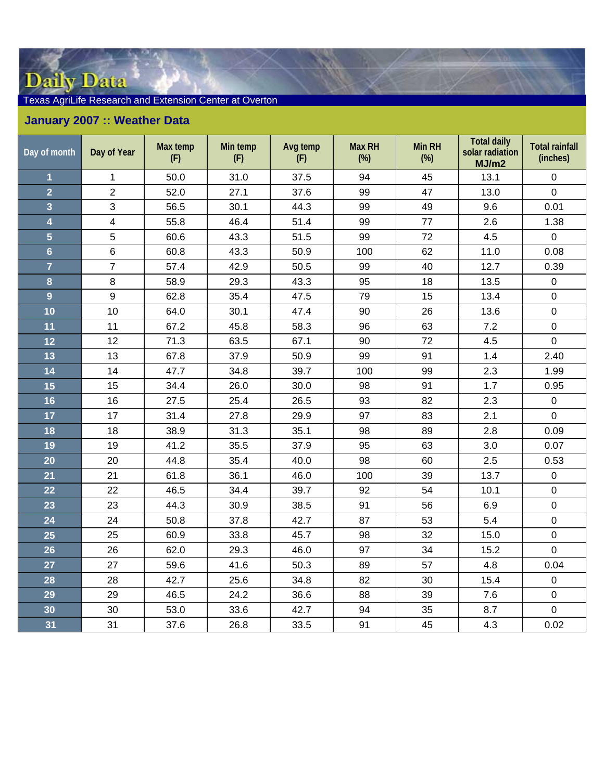## Daily Data

## Texas AgriLife Research and Extension Center at Overton

## **January 2007 :: Weather Data**

| Day of month            | Day of Year    | Max temp<br>(F) | Min temp<br>(F) | Avg temp<br>(F) | <b>Max RH</b><br>$(\%)$ | Min RH<br>$(\%)$ | <b>Total daily</b><br>solar radiation<br>MJ/m2 | <b>Total rainfall</b><br>(inches) |
|-------------------------|----------------|-----------------|-----------------|-----------------|-------------------------|------------------|------------------------------------------------|-----------------------------------|
| $\overline{\mathbf{1}}$ | $\mathbf{1}$   | 50.0            | 31.0            | 37.5            | 94                      | 45               | 13.1                                           | $\pmb{0}$                         |
| $\overline{2}$          | $\overline{2}$ | 52.0            | 27.1            | 37.6            | 99                      | 47               | 13.0                                           | $\mathbf 0$                       |
| 3                       | 3              | 56.5            | 30.1            | 44.3            | 99                      | 49               | 9.6                                            | 0.01                              |
| $\overline{\mathbf{4}}$ | $\overline{4}$ | 55.8            | 46.4            | 51.4            | 99                      | 77               | 2.6                                            | 1.38                              |
| $\overline{5}$          | 5              | 60.6            | 43.3            | 51.5            | 99                      | 72               | 4.5                                            | $\mathbf 0$                       |
| $6\overline{6}$         | 6              | 60.8            | 43.3            | 50.9            | 100                     | 62               | 11.0                                           | 0.08                              |
| $\overline{7}$          | $\overline{7}$ | 57.4            | 42.9            | 50.5            | 99                      | 40               | 12.7                                           | 0.39                              |
| 8                       | 8              | 58.9            | 29.3            | 43.3            | 95                      | 18               | 13.5                                           | $\mathbf 0$                       |
| 9                       | 9              | 62.8            | 35.4            | 47.5            | 79                      | 15               | 13.4                                           | $\mathbf 0$                       |
| 10                      | 10             | 64.0            | 30.1            | 47.4            | 90                      | 26               | 13.6                                           | $\mathbf 0$                       |
| 11                      | 11             | 67.2            | 45.8            | 58.3            | 96                      | 63               | 7.2                                            | $\boldsymbol{0}$                  |
| 12                      | 12             | 71.3            | 63.5            | 67.1            | 90                      | 72               | 4.5                                            | $\pmb{0}$                         |
| 13                      | 13             | 67.8            | 37.9            | 50.9            | 99                      | 91               | 1.4                                            | 2.40                              |
| 14                      | 14             | 47.7            | 34.8            | 39.7            | 100                     | 99               | 2.3                                            | 1.99                              |
| 15                      | 15             | 34.4            | 26.0            | 30.0            | 98                      | 91               | 1.7                                            | 0.95                              |
| 16                      | 16             | 27.5            | 25.4            | 26.5            | 93                      | 82               | 2.3                                            | $\pmb{0}$                         |
| 17                      | 17             | 31.4            | 27.8            | 29.9            | 97                      | 83               | 2.1                                            | $\mathbf 0$                       |
| 18                      | 18             | 38.9            | 31.3            | 35.1            | 98                      | 89               | 2.8                                            | 0.09                              |
| 19                      | 19             | 41.2            | 35.5            | 37.9            | 95                      | 63               | 3.0                                            | 0.07                              |
| 20                      | 20             | 44.8            | 35.4            | 40.0            | 98                      | 60               | 2.5                                            | 0.53                              |
| 21                      | 21             | 61.8            | 36.1            | 46.0            | 100                     | 39               | 13.7                                           | $\mathbf 0$                       |
| 22                      | 22             | 46.5            | 34.4            | 39.7            | 92                      | 54               | 10.1                                           | $\mathbf 0$                       |
| 23                      | 23             | 44.3            | 30.9            | 38.5            | 91                      | 56               | 6.9                                            | $\pmb{0}$                         |
| 24                      | 24             | 50.8            | 37.8            | 42.7            | 87                      | 53               | 5.4                                            | $\mathbf 0$                       |
| 25                      | 25             | 60.9            | 33.8            | 45.7            | 98                      | 32               | 15.0                                           | $\mathbf 0$                       |
| 26                      | 26             | 62.0            | 29.3            | 46.0            | 97                      | 34               | 15.2                                           | $\mathbf 0$                       |
| 27                      | 27             | 59.6            | 41.6            | 50.3            | 89                      | 57               | 4.8                                            | 0.04                              |
| 28                      | 28             | 42.7            | 25.6            | 34.8            | 82                      | 30               | 15.4                                           | $\mathbf 0$                       |
| 29                      | 29             | 46.5            | 24.2            | 36.6            | 88                      | 39               | 7.6                                            | $\boldsymbol{0}$                  |
| 30                      | 30             | 53.0            | 33.6            | 42.7            | 94                      | 35               | 8.7                                            | $\mathbf 0$                       |
| 31                      | 31             | 37.6            | 26.8            | 33.5            | 91                      | 45               | 4.3                                            | 0.02                              |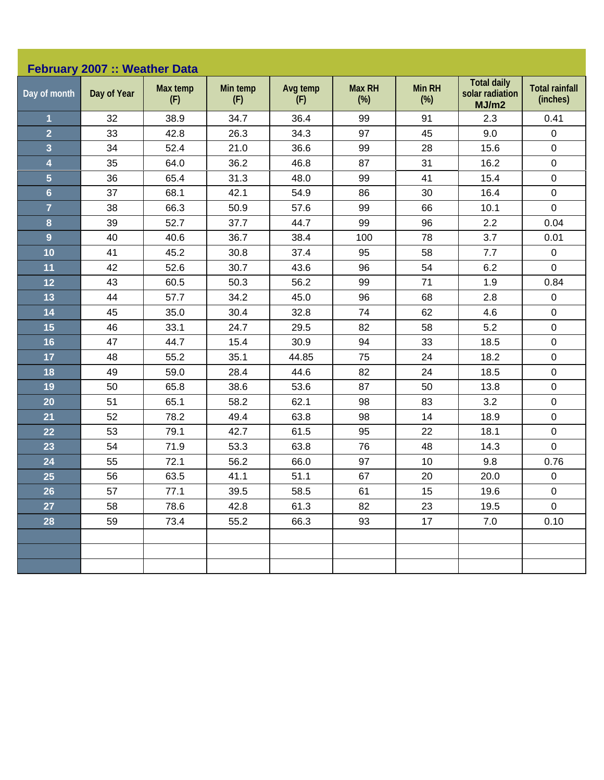| February 2007 :: Weather Data |             |                 |                 |                 |                         |                      |                                                |                                   |  |  |
|-------------------------------|-------------|-----------------|-----------------|-----------------|-------------------------|----------------------|------------------------------------------------|-----------------------------------|--|--|
| Day of month                  | Day of Year | Max temp<br>(F) | Min temp<br>(F) | Avg temp<br>(F) | <b>Max RH</b><br>$(\%)$ | <b>Min RH</b><br>(%) | <b>Total daily</b><br>solar radiation<br>MJ/m2 | <b>Total rainfall</b><br>(inches) |  |  |
| $\mathbf 1$                   | 32          | 38.9            | 34.7            | 36.4            | 99                      | 91                   | 2.3                                            | 0.41                              |  |  |
| $\overline{2}$                | 33          | 42.8            | 26.3            | 34.3            | 97                      | 45                   | 9.0                                            | 0                                 |  |  |
| 3                             | 34          | 52.4            | 21.0            | 36.6            | 99                      | 28                   | 15.6                                           | 0                                 |  |  |
| 4                             | 35          | 64.0            | 36.2            | 46.8            | 87                      | 31                   | 16.2                                           | $\pmb{0}$                         |  |  |
| $\overline{\mathbf{5}}$       | 36          | 65.4            | 31.3            | 48.0            | 99                      | 41                   | 15.4                                           | $\mathbf 0$                       |  |  |
| $6\phantom{a}$                | 37          | 68.1            | 42.1            | 54.9            | 86                      | 30                   | 16.4                                           | $\mathbf 0$                       |  |  |
| $\overline{7}$                | 38          | 66.3            | 50.9            | 57.6            | 99                      | 66                   | 10.1                                           | 0                                 |  |  |
| 8                             | 39          | 52.7            | 37.7            | 44.7            | 99                      | 96                   | 2.2                                            | 0.04                              |  |  |
| $\overline{9}$                | 40          | 40.6            | 36.7            | 38.4            | 100                     | 78                   | 3.7                                            | 0.01                              |  |  |
| 10                            | 41          | 45.2            | 30.8            | 37.4            | 95                      | 58                   | 7.7                                            | $\mathsf 0$                       |  |  |
| 11                            | 42          | 52.6            | 30.7            | 43.6            | 96                      | 54                   | 6.2                                            | 0                                 |  |  |
| 12                            | 43          | 60.5            | 50.3            | 56.2            | 99                      | 71                   | 1.9                                            | 0.84                              |  |  |
| 13                            | 44          | 57.7            | 34.2            | 45.0            | 96                      | 68                   | 2.8                                            | $\pmb{0}$                         |  |  |
| 14                            | 45          | 35.0            | 30.4            | 32.8            | 74                      | 62                   | 4.6                                            | $\mathbf 0$                       |  |  |
| 15                            | 46          | 33.1            | 24.7            | 29.5            | 82                      | 58                   | 5.2                                            | $\pmb{0}$                         |  |  |
| 16                            | 47          | 44.7            | 15.4            | 30.9            | 94                      | 33                   | 18.5                                           | $\mathbf 0$                       |  |  |
| 17                            | 48          | 55.2            | 35.1            | 44.85           | 75                      | 24                   | 18.2                                           | $\pmb{0}$                         |  |  |
| 18                            | 49          | 59.0            | 28.4            | 44.6            | 82                      | 24                   | 18.5                                           | $\mathbf 0$                       |  |  |
| 19                            | 50          | 65.8            | 38.6            | 53.6            | 87                      | 50                   | 13.8                                           | 0                                 |  |  |
| 20                            | 51          | 65.1            | 58.2            | 62.1            | 98                      | 83                   | 3.2                                            | 0                                 |  |  |
| 21                            | 52          | 78.2            | 49.4            | 63.8            | 98                      | 14                   | 18.9                                           | $\mathbf 0$                       |  |  |
| 22                            | 53          | 79.1            | 42.7            | 61.5            | 95                      | 22                   | 18.1                                           | 0                                 |  |  |
| 23                            | 54          | 71.9            | 53.3            | 63.8            | 76                      | 48                   | 14.3                                           | 0                                 |  |  |
| 24                            | 55          | 72.1            | 56.2            | 66.0            | 97                      | 10                   | 9.8                                            | 0.76                              |  |  |
| 25                            | 56          | 63.5            | 41.1            | 51.1            | 67                      | 20                   | 20.0                                           | 0                                 |  |  |
| 26                            | 57          | 77.1            | 39.5            | 58.5            | 61                      | 15                   | 19.6                                           | $\mathbf 0$                       |  |  |
| 27                            | 58          | 78.6            | 42.8            | 61.3            | 82                      | 23                   | 19.5                                           | $\mathbf 0$                       |  |  |
| 28                            | 59          | 73.4            | 55.2            | 66.3            | 93                      | 17                   | 7.0                                            | 0.10                              |  |  |
|                               |             |                 |                 |                 |                         |                      |                                                |                                   |  |  |
|                               |             |                 |                 |                 |                         |                      |                                                |                                   |  |  |
|                               |             |                 |                 |                 |                         |                      |                                                |                                   |  |  |
|                               |             |                 |                 |                 |                         |                      |                                                |                                   |  |  |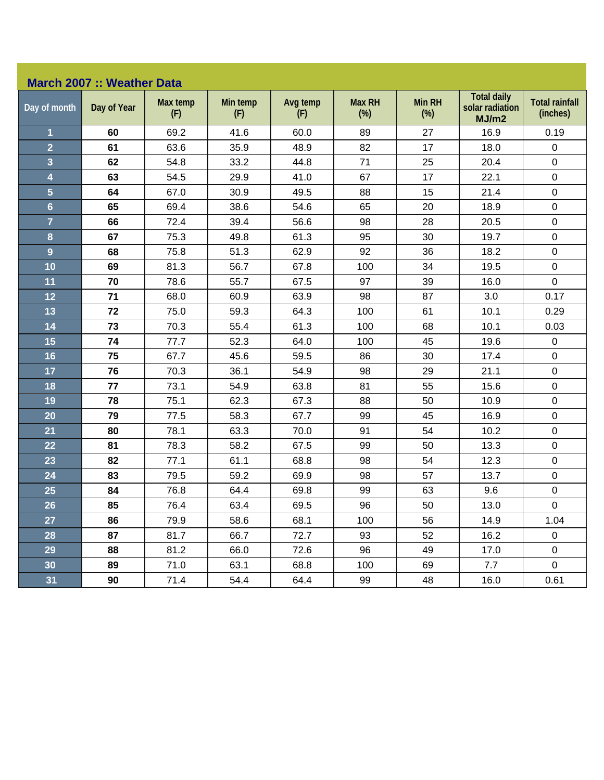## **March 2007 :: Weather Data**

| Day of month            | Day of Year | Max temp<br>(F) | Min temp<br>(F) | Avg temp<br>(F) | <b>Max RH</b><br>$(\%)$ | Min RH<br>$(\%)$ | <b>Total daily</b><br>solar radiation<br>MJ/m2 | <b>Total rainfall</b><br>(inches) |
|-------------------------|-------------|-----------------|-----------------|-----------------|-------------------------|------------------|------------------------------------------------|-----------------------------------|
| 1                       | 60          | 69.2            | 41.6            | 60.0            | 89                      | 27               | 16.9                                           | 0.19                              |
| $\overline{2}$          | 61          | 63.6            | 35.9            | 48.9            | 82                      | 17               | 18.0                                           | $\mathsf 0$                       |
| $\overline{\mathbf{3}}$ | 62          | 54.8            | 33.2            | 44.8            | 71                      | 25               | 20.4                                           | $\mathbf 0$                       |
| $\overline{\mathbf{4}}$ | 63          | 54.5            | 29.9            | 41.0            | 67                      | 17               | 22.1                                           | $\mathsf 0$                       |
| $\overline{5}$          | 64          | 67.0            | 30.9            | 49.5            | 88                      | 15               | 21.4                                           | $\pmb{0}$                         |
| $6\phantom{a}$          | 65          | 69.4            | 38.6            | 54.6            | 65                      | 20               | 18.9                                           | $\mathbf 0$                       |
| $\overline{7}$          | 66          | 72.4            | 39.4            | 56.6            | 98                      | 28               | 20.5                                           | $\pmb{0}$                         |
| 8                       | 67          | 75.3            | 49.8            | 61.3            | 95                      | 30               | 19.7                                           | $\pmb{0}$                         |
| $\overline{9}$          | 68          | 75.8            | 51.3            | 62.9            | 92                      | 36               | 18.2                                           | $\mathbf 0$                       |
| 10                      | 69          | 81.3            | 56.7            | 67.8            | 100                     | 34               | 19.5                                           | $\pmb{0}$                         |
| 11                      | 70          | 78.6            | 55.7            | 67.5            | 97                      | 39               | 16.0                                           | $\mathbf 0$                       |
| 12                      | 71          | 68.0            | 60.9            | 63.9            | 98                      | 87               | 3.0                                            | 0.17                              |
| 13                      | 72          | 75.0            | 59.3            | 64.3            | 100                     | 61               | 10.1                                           | 0.29                              |
| 14                      | 73          | 70.3            | 55.4            | 61.3            | 100                     | 68               | 10.1                                           | 0.03                              |
| 15                      | 74          | 77.7            | 52.3            | 64.0            | 100                     | 45               | 19.6                                           | $\mathsf 0$                       |
| 16                      | 75          | 67.7            | 45.6            | 59.5            | 86                      | 30               | 17.4                                           | $\mathbf 0$                       |
| 17                      | 76          | 70.3            | 36.1            | 54.9            | 98                      | 29               | 21.1                                           | $\mathbf 0$                       |
| 18                      | 77          | 73.1            | 54.9            | 63.8            | 81                      | 55               | 15.6                                           | $\pmb{0}$                         |
| 19                      | 78          | 75.1            | 62.3            | 67.3            | 88                      | 50               | 10.9                                           | $\pmb{0}$                         |
| 20                      | 79          | 77.5            | 58.3            | 67.7            | 99                      | 45               | 16.9                                           | $\pmb{0}$                         |
| 21                      | 80          | 78.1            | 63.3            | 70.0            | 91                      | 54               | 10.2                                           | $\mathsf 0$                       |
| 22                      | 81          | 78.3            | 58.2            | 67.5            | 99                      | 50               | 13.3                                           | $\pmb{0}$                         |
| 23                      | 82          | 77.1            | 61.1            | 68.8            | 98                      | 54               | 12.3                                           | $\pmb{0}$                         |
| 24                      | 83          | 79.5            | 59.2            | 69.9            | 98                      | 57               | 13.7                                           | $\pmb{0}$                         |
| 25                      | 84          | 76.8            | 64.4            | 69.8            | 99                      | 63               | 9.6                                            | $\pmb{0}$                         |
| 26                      | 85          | 76.4            | 63.4            | 69.5            | 96                      | 50               | 13.0                                           | $\pmb{0}$                         |
| 27                      | 86          | 79.9            | 58.6            | 68.1            | 100                     | 56               | 14.9                                           | 1.04                              |
| 28                      | 87          | 81.7            | 66.7            | 72.7            | 93                      | 52               | 16.2                                           | $\mathsf 0$                       |
| 29                      | 88          | 81.2            | 66.0            | 72.6            | 96                      | 49               | 17.0                                           | $\mathsf 0$                       |
| 30                      | 89          | 71.0            | 63.1            | 68.8            | 100                     | 69               | 7.7                                            | $\mathbf 0$                       |
| 31                      | 90          | 71.4            | 54.4            | 64.4            | 99                      | 48               | 16.0                                           | 0.61                              |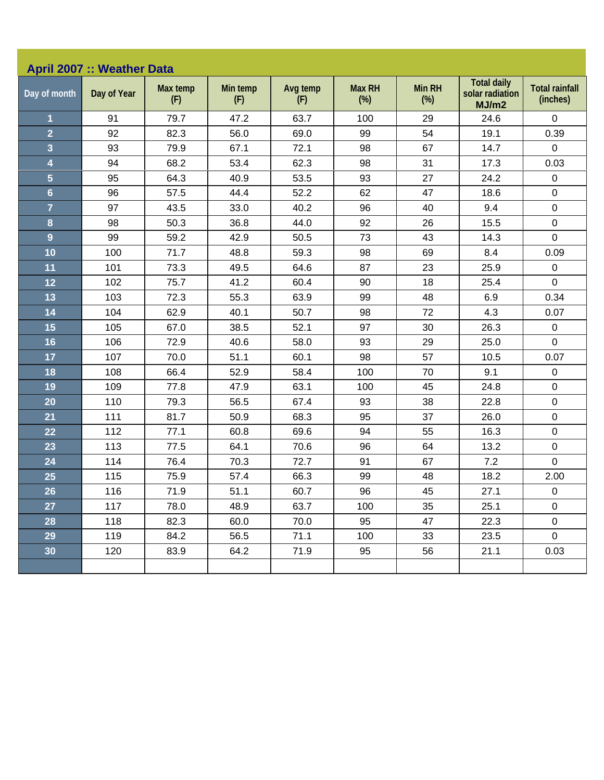| <b>Total daily</b><br>Max temp<br>Avg temp<br><b>Max RH</b><br><b>Min RH</b><br>Min temp<br>solar radiation<br>Day of month<br>Day of Year<br>(F)<br>(F)<br>$(\%)$<br>$(\%)$<br>(F)<br>MJ/m2<br>91<br>79.7<br>63.7<br>100<br>$\mathbf 0$<br>1<br>47.2<br>29<br>24.6<br>$\overline{2}$<br>82.3<br>56.0<br>69.0<br>99<br>54<br>19.1<br>92<br>3<br>67<br>14.7<br>93<br>79.9<br>67.1<br>72.1<br>98<br>4<br>94<br>68.2<br>53.4<br>62.3<br>98<br>31<br>17.3<br>5<br>95<br>64.3<br>40.9<br>53.5<br>93<br>27<br>24.2<br>52.2<br>$6\phantom{a}$<br>96<br>57.5<br>44.4<br>62<br>47<br>18.6<br>$\mathsf 0$<br>$\overline{7}$<br>96<br>40<br>9.4<br>97<br>43.5<br>33.0<br>40.2<br>$\pmb{0}$<br>26<br>8<br>98<br>50.3<br>36.8<br>44.0<br>92<br>15.5<br>$\pmb{0}$<br>$\mathbf 0$<br>9<br>59.2<br>42.9<br>43<br>99<br>50.5<br>73<br>14.3<br>10<br>98<br>71.7<br>48.8<br>59.3<br>69<br>8.4<br>100<br>11<br>87<br>23<br>101<br>73.3<br>49.5<br>64.6<br>25.9<br>$\pmb{0}$<br>102<br>75.7<br>41.2<br>60.4<br>90<br>18<br>25.4<br>12<br>13<br>103<br>72.3<br>55.3<br>63.9<br>99<br>48<br>6.9<br>14<br>50.7<br>72<br>4.3<br>104<br>62.9<br>40.1<br>98<br>15<br>30<br>26.3<br>105<br>67.0<br>38.5<br>52.1<br>97<br>16<br>72.9<br>58.0<br>93<br>29<br>25.0<br>106<br>40.6<br>17<br>107<br>70.0<br>51.1<br>60.1<br>98<br>57<br>10.5<br>9.1<br>18<br>58.4<br>100<br>70<br>108<br>66.4<br>52.9<br>109<br>63.1<br>100<br>45<br>24.8<br>19<br>77.8<br>47.9<br>$\pmb{0}$<br>20<br>110<br>79.3<br>67.4<br>93<br>38<br>56.5<br>22.8<br>21<br>111<br>81.7<br>50.9<br>68.3<br>95<br>37<br>26.0<br>112<br>69.6<br>94<br>55<br>16.3<br>22<br>77.1<br>60.8<br>23<br>113<br>64.1<br>70.6<br>96<br>64<br>13.2<br>77.5<br>$\pmb{0}$<br>24<br>91<br>67<br>114<br>76.4<br>70.3<br>72.7<br>7.2 | <b>April 2007 :: Weather Data</b> |     |      |      |      |    |    |      |                                   |  |  |
|------------------------------------------------------------------------------------------------------------------------------------------------------------------------------------------------------------------------------------------------------------------------------------------------------------------------------------------------------------------------------------------------------------------------------------------------------------------------------------------------------------------------------------------------------------------------------------------------------------------------------------------------------------------------------------------------------------------------------------------------------------------------------------------------------------------------------------------------------------------------------------------------------------------------------------------------------------------------------------------------------------------------------------------------------------------------------------------------------------------------------------------------------------------------------------------------------------------------------------------------------------------------------------------------------------------------------------------------------------------------------------------------------------------------------------------------------------------------------------------------------------------------------------------------------------------------------------------------------------------------------------------------------------------------------------------------------------------------------------------------------|-----------------------------------|-----|------|------|------|----|----|------|-----------------------------------|--|--|
|                                                                                                                                                                                                                                                                                                                                                                                                                                                                                                                                                                                                                                                                                                                                                                                                                                                                                                                                                                                                                                                                                                                                                                                                                                                                                                                                                                                                                                                                                                                                                                                                                                                                                                                                                      |                                   |     |      |      |      |    |    |      | <b>Total rainfall</b><br>(inches) |  |  |
|                                                                                                                                                                                                                                                                                                                                                                                                                                                                                                                                                                                                                                                                                                                                                                                                                                                                                                                                                                                                                                                                                                                                                                                                                                                                                                                                                                                                                                                                                                                                                                                                                                                                                                                                                      |                                   |     |      |      |      |    |    |      |                                   |  |  |
|                                                                                                                                                                                                                                                                                                                                                                                                                                                                                                                                                                                                                                                                                                                                                                                                                                                                                                                                                                                                                                                                                                                                                                                                                                                                                                                                                                                                                                                                                                                                                                                                                                                                                                                                                      |                                   |     |      |      |      |    |    |      | 0.39                              |  |  |
|                                                                                                                                                                                                                                                                                                                                                                                                                                                                                                                                                                                                                                                                                                                                                                                                                                                                                                                                                                                                                                                                                                                                                                                                                                                                                                                                                                                                                                                                                                                                                                                                                                                                                                                                                      |                                   |     |      |      |      |    |    |      | 0                                 |  |  |
|                                                                                                                                                                                                                                                                                                                                                                                                                                                                                                                                                                                                                                                                                                                                                                                                                                                                                                                                                                                                                                                                                                                                                                                                                                                                                                                                                                                                                                                                                                                                                                                                                                                                                                                                                      |                                   |     |      |      |      |    |    |      | 0.03                              |  |  |
|                                                                                                                                                                                                                                                                                                                                                                                                                                                                                                                                                                                                                                                                                                                                                                                                                                                                                                                                                                                                                                                                                                                                                                                                                                                                                                                                                                                                                                                                                                                                                                                                                                                                                                                                                      |                                   |     |      |      |      |    |    |      | $\mathbf 0$                       |  |  |
|                                                                                                                                                                                                                                                                                                                                                                                                                                                                                                                                                                                                                                                                                                                                                                                                                                                                                                                                                                                                                                                                                                                                                                                                                                                                                                                                                                                                                                                                                                                                                                                                                                                                                                                                                      |                                   |     |      |      |      |    |    |      |                                   |  |  |
|                                                                                                                                                                                                                                                                                                                                                                                                                                                                                                                                                                                                                                                                                                                                                                                                                                                                                                                                                                                                                                                                                                                                                                                                                                                                                                                                                                                                                                                                                                                                                                                                                                                                                                                                                      |                                   |     |      |      |      |    |    |      |                                   |  |  |
|                                                                                                                                                                                                                                                                                                                                                                                                                                                                                                                                                                                                                                                                                                                                                                                                                                                                                                                                                                                                                                                                                                                                                                                                                                                                                                                                                                                                                                                                                                                                                                                                                                                                                                                                                      |                                   |     |      |      |      |    |    |      |                                   |  |  |
|                                                                                                                                                                                                                                                                                                                                                                                                                                                                                                                                                                                                                                                                                                                                                                                                                                                                                                                                                                                                                                                                                                                                                                                                                                                                                                                                                                                                                                                                                                                                                                                                                                                                                                                                                      |                                   |     |      |      |      |    |    |      |                                   |  |  |
|                                                                                                                                                                                                                                                                                                                                                                                                                                                                                                                                                                                                                                                                                                                                                                                                                                                                                                                                                                                                                                                                                                                                                                                                                                                                                                                                                                                                                                                                                                                                                                                                                                                                                                                                                      |                                   |     |      |      |      |    |    |      | 0.09                              |  |  |
|                                                                                                                                                                                                                                                                                                                                                                                                                                                                                                                                                                                                                                                                                                                                                                                                                                                                                                                                                                                                                                                                                                                                                                                                                                                                                                                                                                                                                                                                                                                                                                                                                                                                                                                                                      |                                   |     |      |      |      |    |    |      |                                   |  |  |
|                                                                                                                                                                                                                                                                                                                                                                                                                                                                                                                                                                                                                                                                                                                                                                                                                                                                                                                                                                                                                                                                                                                                                                                                                                                                                                                                                                                                                                                                                                                                                                                                                                                                                                                                                      |                                   |     |      |      |      |    |    |      | $\mathbf 0$                       |  |  |
|                                                                                                                                                                                                                                                                                                                                                                                                                                                                                                                                                                                                                                                                                                                                                                                                                                                                                                                                                                                                                                                                                                                                                                                                                                                                                                                                                                                                                                                                                                                                                                                                                                                                                                                                                      |                                   |     |      |      |      |    |    |      | 0.34                              |  |  |
|                                                                                                                                                                                                                                                                                                                                                                                                                                                                                                                                                                                                                                                                                                                                                                                                                                                                                                                                                                                                                                                                                                                                                                                                                                                                                                                                                                                                                                                                                                                                                                                                                                                                                                                                                      |                                   |     |      |      |      |    |    |      | 0.07                              |  |  |
|                                                                                                                                                                                                                                                                                                                                                                                                                                                                                                                                                                                                                                                                                                                                                                                                                                                                                                                                                                                                                                                                                                                                                                                                                                                                                                                                                                                                                                                                                                                                                                                                                                                                                                                                                      |                                   |     |      |      |      |    |    |      | $\pmb{0}$                         |  |  |
|                                                                                                                                                                                                                                                                                                                                                                                                                                                                                                                                                                                                                                                                                                                                                                                                                                                                                                                                                                                                                                                                                                                                                                                                                                                                                                                                                                                                                                                                                                                                                                                                                                                                                                                                                      |                                   |     |      |      |      |    |    |      | $\mathbf 0$                       |  |  |
|                                                                                                                                                                                                                                                                                                                                                                                                                                                                                                                                                                                                                                                                                                                                                                                                                                                                                                                                                                                                                                                                                                                                                                                                                                                                                                                                                                                                                                                                                                                                                                                                                                                                                                                                                      |                                   |     |      |      |      |    |    |      | 0.07                              |  |  |
|                                                                                                                                                                                                                                                                                                                                                                                                                                                                                                                                                                                                                                                                                                                                                                                                                                                                                                                                                                                                                                                                                                                                                                                                                                                                                                                                                                                                                                                                                                                                                                                                                                                                                                                                                      |                                   |     |      |      |      |    |    |      | $\pmb{0}$                         |  |  |
|                                                                                                                                                                                                                                                                                                                                                                                                                                                                                                                                                                                                                                                                                                                                                                                                                                                                                                                                                                                                                                                                                                                                                                                                                                                                                                                                                                                                                                                                                                                                                                                                                                                                                                                                                      |                                   |     |      |      |      |    |    |      | $\mathbf 0$                       |  |  |
|                                                                                                                                                                                                                                                                                                                                                                                                                                                                                                                                                                                                                                                                                                                                                                                                                                                                                                                                                                                                                                                                                                                                                                                                                                                                                                                                                                                                                                                                                                                                                                                                                                                                                                                                                      |                                   |     |      |      |      |    |    |      |                                   |  |  |
|                                                                                                                                                                                                                                                                                                                                                                                                                                                                                                                                                                                                                                                                                                                                                                                                                                                                                                                                                                                                                                                                                                                                                                                                                                                                                                                                                                                                                                                                                                                                                                                                                                                                                                                                                      |                                   |     |      |      |      |    |    |      | $\mathsf 0$                       |  |  |
|                                                                                                                                                                                                                                                                                                                                                                                                                                                                                                                                                                                                                                                                                                                                                                                                                                                                                                                                                                                                                                                                                                                                                                                                                                                                                                                                                                                                                                                                                                                                                                                                                                                                                                                                                      |                                   |     |      |      |      |    |    |      | $\pmb{0}$                         |  |  |
|                                                                                                                                                                                                                                                                                                                                                                                                                                                                                                                                                                                                                                                                                                                                                                                                                                                                                                                                                                                                                                                                                                                                                                                                                                                                                                                                                                                                                                                                                                                                                                                                                                                                                                                                                      |                                   |     |      |      |      |    |    |      | $\mathsf 0$                       |  |  |
|                                                                                                                                                                                                                                                                                                                                                                                                                                                                                                                                                                                                                                                                                                                                                                                                                                                                                                                                                                                                                                                                                                                                                                                                                                                                                                                                                                                                                                                                                                                                                                                                                                                                                                                                                      |                                   |     |      |      |      |    |    |      |                                   |  |  |
|                                                                                                                                                                                                                                                                                                                                                                                                                                                                                                                                                                                                                                                                                                                                                                                                                                                                                                                                                                                                                                                                                                                                                                                                                                                                                                                                                                                                                                                                                                                                                                                                                                                                                                                                                      | 25                                | 115 | 75.9 | 57.4 | 66.3 | 99 | 48 | 18.2 | 2.00                              |  |  |
| 26<br>45<br>116<br>71.9<br>51.1<br>96<br>$\pmb{0}$<br>60.7<br>27.1                                                                                                                                                                                                                                                                                                                                                                                                                                                                                                                                                                                                                                                                                                                                                                                                                                                                                                                                                                                                                                                                                                                                                                                                                                                                                                                                                                                                                                                                                                                                                                                                                                                                                   |                                   |     |      |      |      |    |    |      |                                   |  |  |
| 27<br>117<br>48.9<br>63.7<br>35<br>25.1<br>78.0<br>100                                                                                                                                                                                                                                                                                                                                                                                                                                                                                                                                                                                                                                                                                                                                                                                                                                                                                                                                                                                                                                                                                                                                                                                                                                                                                                                                                                                                                                                                                                                                                                                                                                                                                               |                                   |     |      |      |      |    |    |      | $\mathbf 0$                       |  |  |
| 95<br>47<br>28<br>118<br>82.3<br>60.0<br>22.3<br>70.0                                                                                                                                                                                                                                                                                                                                                                                                                                                                                                                                                                                                                                                                                                                                                                                                                                                                                                                                                                                                                                                                                                                                                                                                                                                                                                                                                                                                                                                                                                                                                                                                                                                                                                |                                   |     |      |      |      |    |    |      | $\mathsf 0$                       |  |  |
| 56.5<br>71.1<br>33<br>23.5<br>29<br>119<br>84.2<br>100                                                                                                                                                                                                                                                                                                                                                                                                                                                                                                                                                                                                                                                                                                                                                                                                                                                                                                                                                                                                                                                                                                                                                                                                                                                                                                                                                                                                                                                                                                                                                                                                                                                                                               |                                   |     |      |      |      |    |    |      | $\mathbf 0$                       |  |  |
| 30 <sub>o</sub><br>64.2<br>71.9<br>95<br>56<br>120<br>83.9<br>21.1                                                                                                                                                                                                                                                                                                                                                                                                                                                                                                                                                                                                                                                                                                                                                                                                                                                                                                                                                                                                                                                                                                                                                                                                                                                                                                                                                                                                                                                                                                                                                                                                                                                                                   |                                   |     |      |      |      |    |    |      | 0.03                              |  |  |
|                                                                                                                                                                                                                                                                                                                                                                                                                                                                                                                                                                                                                                                                                                                                                                                                                                                                                                                                                                                                                                                                                                                                                                                                                                                                                                                                                                                                                                                                                                                                                                                                                                                                                                                                                      |                                   |     |      |      |      |    |    |      |                                   |  |  |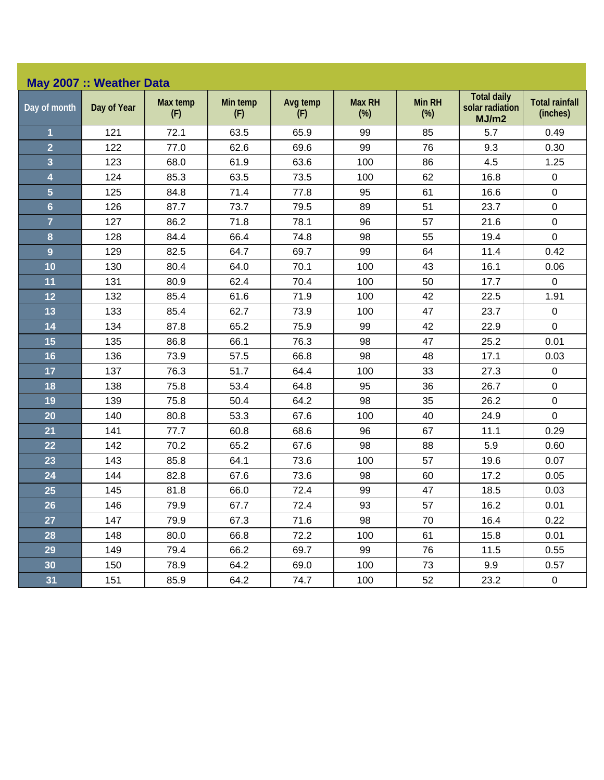| May 2007 :: Weather Data |             |                 |                 |                 |                         |                         |                                                |                                   |  |  |
|--------------------------|-------------|-----------------|-----------------|-----------------|-------------------------|-------------------------|------------------------------------------------|-----------------------------------|--|--|
| Day of month             | Day of Year | Max temp<br>(F) | Min temp<br>(F) | Avg temp<br>(F) | <b>Max RH</b><br>$(\%)$ | <b>Min RH</b><br>$(\%)$ | <b>Total daily</b><br>solar radiation<br>MJ/m2 | <b>Total rainfall</b><br>(inches) |  |  |
| 1                        | 121         | 72.1            | 63.5            | 65.9            | 99                      | 85                      | 5.7                                            | 0.49                              |  |  |
| $\overline{2}$           | 122         | 77.0            | 62.6            | 69.6            | 99                      | 76                      | 9.3                                            | 0.30                              |  |  |
| 3                        | 123         | 68.0            | 61.9            | 63.6            | 100                     | 86                      | 4.5                                            | 1.25                              |  |  |
| 4                        | 124         | 85.3            | 63.5            | 73.5            | 100                     | 62                      | 16.8                                           | $\pmb{0}$                         |  |  |
| 5                        | 125         | 84.8            | 71.4            | 77.8            | 95                      | 61                      | 16.6                                           | $\pmb{0}$                         |  |  |
| $6\phantom{a}$           | 126         | 87.7            | 73.7            | 79.5            | 89                      | 51                      | 23.7                                           | $\mathbf 0$                       |  |  |
| $\overline{7}$           | 127         | 86.2            | 71.8            | 78.1            | 96                      | 57                      | 21.6                                           | $\boldsymbol{0}$                  |  |  |
| 8                        | 128         | 84.4            | 66.4            | 74.8            | 98                      | 55                      | 19.4                                           | $\boldsymbol{0}$                  |  |  |
| $\overline{9}$           | 129         | 82.5            | 64.7            | 69.7            | 99                      | 64                      | 11.4                                           | 0.42                              |  |  |
| 10                       | 130         | 80.4            | 64.0            | 70.1            | 100                     | 43                      | 16.1                                           | 0.06                              |  |  |
| 11                       | 131         | 80.9            | 62.4            | 70.4            | 100                     | 50                      | 17.7                                           | $\mathbf 0$                       |  |  |
| 12                       | 132         | 85.4            | 61.6            | 71.9            | 100                     | 42                      | 22.5                                           | 1.91                              |  |  |
| 13                       | 133         | 85.4            | 62.7            | 73.9            | 100                     | 47                      | 23.7                                           | $\boldsymbol{0}$                  |  |  |
| 14                       | 134         | 87.8            | 65.2            | 75.9            | 99                      | 42                      | 22.9                                           | $\mathbf 0$                       |  |  |
| 15                       | 135         | 86.8            | 66.1            | 76.3            | 98                      | 47                      | 25.2                                           | 0.01                              |  |  |
| 16                       | 136         | 73.9            | 57.5            | 66.8            | 98                      | 48                      | 17.1                                           | 0.03                              |  |  |
| 17                       | 137         | 76.3            | 51.7            | 64.4            | 100                     | 33                      | 27.3                                           | $\pmb{0}$                         |  |  |
| 18                       | 138         | 75.8            | 53.4            | 64.8            | 95                      | 36                      | 26.7                                           | $\pmb{0}$                         |  |  |
| 19                       | 139         | 75.8            | 50.4            | 64.2            | 98                      | 35                      | 26.2                                           | $\boldsymbol{0}$                  |  |  |
| 20                       | 140         | 80.8            | 53.3            | 67.6            | 100                     | 40                      | 24.9                                           | 0                                 |  |  |
| 21                       | 141         | 77.7            | 60.8            | 68.6            | 96                      | 67                      | 11.1                                           | 0.29                              |  |  |
| 22                       | 142         | 70.2            | 65.2            | 67.6            | 98                      | 88                      | 5.9                                            | 0.60                              |  |  |
| 23                       | 143         | 85.8            | 64.1            | 73.6            | 100                     | 57                      | 19.6                                           | 0.07                              |  |  |
| 24                       | 144         | 82.8            | 67.6            | 73.6            | 98                      | 60                      | 17.2                                           | 0.05                              |  |  |
| 25                       | 145         | 81.8            | 66.0            | 72.4            | 99                      | 47                      | 18.5                                           | 0.03                              |  |  |
| 26                       | 146         | 79.9            | 67.7            | 72.4            | 93                      | 57                      | 16.2                                           | 0.01                              |  |  |
| 27                       | 147         | 79.9            | 67.3            | 71.6            | 98                      | 70                      | 16.4                                           | 0.22                              |  |  |
| 28                       | 148         | 80.0            | 66.8            | 72.2            | 100                     | 61                      | 15.8                                           | 0.01                              |  |  |
| 29                       | 149         | 79.4            | 66.2            | 69.7            | 99                      | 76                      | 11.5                                           | 0.55                              |  |  |
| 30                       | 150         | 78.9            | 64.2            | 69.0            | 100                     | 73                      | 9.9                                            | 0.57                              |  |  |
| 31                       | 151         | 85.9            | 64.2            | 74.7            | 100                     | 52                      | 23.2                                           | 0                                 |  |  |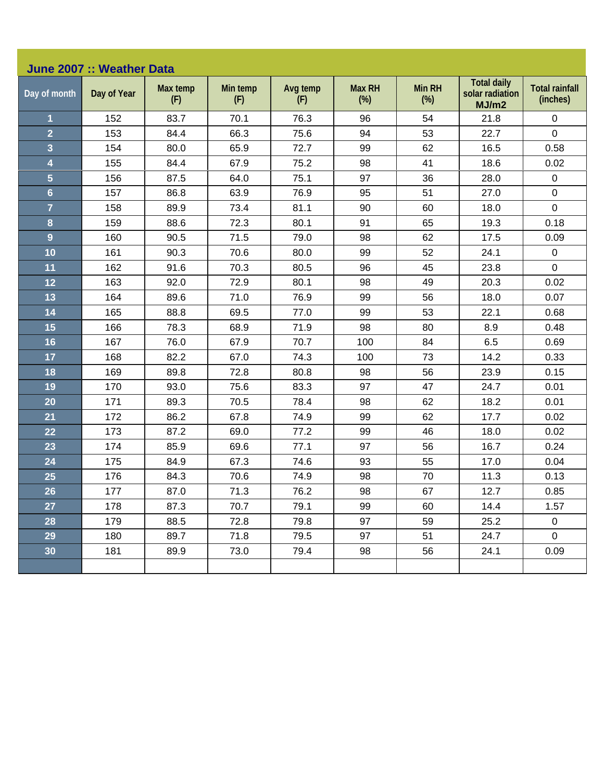| June 2007 :: Weather Data |             |                 |                 |                 |                         |                         |                                                |                                   |  |  |
|---------------------------|-------------|-----------------|-----------------|-----------------|-------------------------|-------------------------|------------------------------------------------|-----------------------------------|--|--|
| Day of month              | Day of Year | Max temp<br>(F) | Min temp<br>(F) | Avg temp<br>(F) | <b>Max RH</b><br>$(\%)$ | <b>Min RH</b><br>$(\%)$ | <b>Total daily</b><br>solar radiation<br>MJ/m2 | <b>Total rainfall</b><br>(inches) |  |  |
| 1                         | 152         | 83.7            | 70.1            | 76.3            | 96                      | 54                      | 21.8                                           | 0                                 |  |  |
| $\overline{2}$            | 153         | 84.4            | 66.3            | 75.6            | 94                      | 53                      | 22.7                                           | $\mathbf 0$                       |  |  |
| 3                         | 154         | 80.0            | 65.9            | 72.7            | 99                      | 62                      | 16.5                                           | 0.58                              |  |  |
| 4                         | 155         | 84.4            | 67.9            | 75.2            | 98                      | 41                      | 18.6                                           | 0.02                              |  |  |
| 5                         | 156         | 87.5            | 64.0            | 75.1            | 97                      | 36                      | 28.0                                           | $\mathbf 0$                       |  |  |
| $6\phantom{a}$            | 157         | 86.8            | 63.9            | 76.9            | 95                      | 51                      | 27.0                                           | $\mathsf 0$                       |  |  |
| $\overline{7}$            | 158         | 89.9            | 73.4            | 81.1            | 90                      | 60                      | 18.0                                           | $\pmb{0}$                         |  |  |
| 8                         | 159         | 88.6            | 72.3            | 80.1            | 91                      | 65                      | 19.3                                           | 0.18                              |  |  |
| 9                         | 160         | 90.5            | 71.5            | 79.0            | 98                      | 62                      | 17.5                                           | 0.09                              |  |  |
| 10                        | 161         | 90.3            | 70.6            | 80.0            | 99                      | 52                      | 24.1                                           | $\pmb{0}$                         |  |  |
| 11                        | 162         | 91.6            | 70.3            | 80.5            | 96                      | 45                      | 23.8                                           | 0                                 |  |  |
| 12                        | 163         | 92.0            | 72.9            | 80.1            | 98                      | 49                      | 20.3                                           | 0.02                              |  |  |
| 13                        | 164         | 89.6            | 71.0            | 76.9            | 99                      | 56                      | 18.0                                           | 0.07                              |  |  |
| 14                        | 165         | 88.8            | 69.5            | 77.0            | 99                      | 53                      | 22.1                                           | 0.68                              |  |  |
| 15                        | 166         | 78.3            | 68.9            | 71.9            | 98                      | 80                      | 8.9                                            | 0.48                              |  |  |
| 16                        | 167         | 76.0            | 67.9            | 70.7            | 100                     | 84                      | 6.5                                            | 0.69                              |  |  |
| 17                        | 168         | 82.2            | 67.0            | 74.3            | 100                     | 73                      | 14.2                                           | 0.33                              |  |  |
| 18                        | 169         | 89.8            | 72.8            | 80.8            | 98                      | 56                      | 23.9                                           | 0.15                              |  |  |
| 19                        | 170         | 93.0            | 75.6            | 83.3            | 97                      | 47                      | 24.7                                           | 0.01                              |  |  |
| 20                        | 171         | 89.3            | 70.5            | 78.4            | 98                      | 62                      | 18.2                                           | 0.01                              |  |  |
| 21                        | 172         | 86.2            | 67.8            | 74.9            | 99                      | 62                      | 17.7                                           | 0.02                              |  |  |
| 22                        | 173         | 87.2            | 69.0            | 77.2            | 99                      | 46                      | 18.0                                           | 0.02                              |  |  |
| 23                        | 174         | 85.9            | 69.6            | 77.1            | 97                      | 56                      | 16.7                                           | 0.24                              |  |  |
| 24                        | 175         | 84.9            | 67.3            | 74.6            | 93                      | 55                      | 17.0                                           | 0.04                              |  |  |
| 25                        | 176         | 84.3            | 70.6            | 74.9            | 98                      | 70                      | 11.3                                           | 0.13                              |  |  |
| 26                        | 177         | 87.0            | 71.3            | 76.2            | 98                      | 67                      | 12.7                                           | 0.85                              |  |  |
| 27                        | 178         | 87.3            | 70.7            | 79.1            | 99                      | 60                      | 14.4                                           | 1.57                              |  |  |
| 28                        | 179         | 88.5            | 72.8            | 79.8            | 97                      | 59                      | 25.2                                           | $\mathbf 0$                       |  |  |
| 29                        | 180         | 89.7            | 71.8            | 79.5            | 97                      | 51                      | 24.7                                           | $\mathbf 0$                       |  |  |
| 30 <sub>o</sub>           | 181         | 89.9            | 73.0            | 79.4            | 98                      | 56                      | 24.1                                           | 0.09                              |  |  |
|                           |             |                 |                 |                 |                         |                         |                                                |                                   |  |  |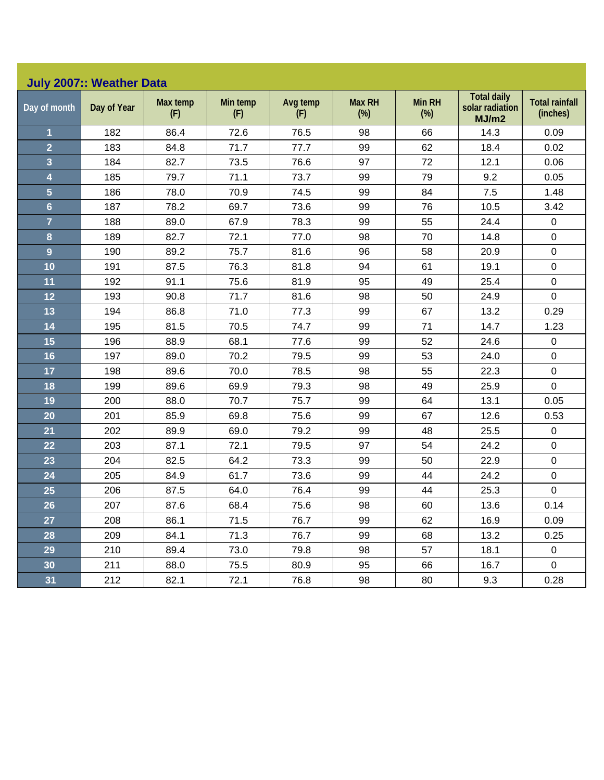|  |  | July 2007:: Weather Data |
|--|--|--------------------------|
|--|--|--------------------------|

| Day of month            | Day of Year | Max temp<br>(F) | Min temp<br>(F) | Avg temp<br>(F) | <b>Max RH</b><br>$(\%)$ | <b>Min RH</b><br>$(\%)$ | <b>Total daily</b><br>solar radiation<br>MJ/m2 | <b>Total rainfall</b><br>(inches) |
|-------------------------|-------------|-----------------|-----------------|-----------------|-------------------------|-------------------------|------------------------------------------------|-----------------------------------|
| 1                       | 182         | 86.4            | 72.6            | 76.5            | 98                      | 66                      | 14.3                                           | 0.09                              |
| $\overline{2}$          | 183         | 84.8            | 71.7            | 77.7            | 99                      | 62                      | 18.4                                           | 0.02                              |
| $\overline{\mathbf{3}}$ | 184         | 82.7            | 73.5            | 76.6            | 97                      | 72                      | 12.1                                           | 0.06                              |
| $\overline{\mathbf{4}}$ | 185         | 79.7            | 71.1            | 73.7            | 99                      | 79                      | 9.2                                            | 0.05                              |
| $\overline{5}$          | 186         | 78.0            | 70.9            | 74.5            | 99                      | 84                      | 7.5                                            | 1.48                              |
| $6\phantom{a}$          | 187         | 78.2            | 69.7            | 73.6            | 99                      | 76                      | 10.5                                           | 3.42                              |
| $\overline{7}$          | 188         | 89.0            | 67.9            | 78.3            | 99                      | 55                      | 24.4                                           | $\pmb{0}$                         |
| 8                       | 189         | 82.7            | 72.1            | 77.0            | 98                      | 70                      | 14.8                                           | $\pmb{0}$                         |
| 9                       | 190         | 89.2            | 75.7            | 81.6            | 96                      | 58                      | 20.9                                           | $\pmb{0}$                         |
| 10                      | 191         | 87.5            | 76.3            | 81.8            | 94                      | 61                      | 19.1                                           | $\mathbf 0$                       |
| 11                      | 192         | 91.1            | 75.6            | 81.9            | 95                      | 49                      | 25.4                                           | $\mathbf 0$                       |
| 12                      | 193         | 90.8            | 71.7            | 81.6            | 98                      | 50                      | 24.9                                           | $\pmb{0}$                         |
| 13                      | 194         | 86.8            | 71.0            | 77.3            | 99                      | 67                      | 13.2                                           | 0.29                              |
| 14                      | 195         | 81.5            | 70.5            | 74.7            | 99                      | 71                      | 14.7                                           | 1.23                              |
| 15                      | 196         | 88.9            | 68.1            | 77.6            | 99                      | 52                      | 24.6                                           | $\pmb{0}$                         |
| 16                      | 197         | 89.0            | 70.2            | 79.5            | 99                      | 53                      | 24.0                                           | $\mathbf 0$                       |
| 17                      | 198         | 89.6            | 70.0            | 78.5            | 98                      | 55                      | 22.3                                           | $\pmb{0}$                         |
| 18                      | 199         | 89.6            | 69.9            | 79.3            | 98                      | 49                      | 25.9                                           | $\pmb{0}$                         |
| 19                      | 200         | 88.0            | 70.7            | 75.7            | 99                      | 64                      | 13.1                                           | 0.05                              |
| 20                      | 201         | 85.9            | 69.8            | 75.6            | 99                      | 67                      | 12.6                                           | 0.53                              |
| 21                      | 202         | 89.9            | 69.0            | 79.2            | 99                      | 48                      | 25.5                                           | $\mathbf 0$                       |
| 22                      | 203         | 87.1            | 72.1            | 79.5            | 97                      | 54                      | 24.2                                           | $\mathsf 0$                       |
| 23                      | 204         | 82.5            | 64.2            | 73.3            | 99                      | 50                      | 22.9                                           | $\mathsf 0$                       |
| 24                      | 205         | 84.9            | 61.7            | 73.6            | 99                      | 44                      | 24.2                                           | $\mathbf 0$                       |
| 25                      | 206         | 87.5            | 64.0            | 76.4            | 99                      | 44                      | 25.3                                           | $\pmb{0}$                         |
| 26                      | 207         | 87.6            | 68.4            | 75.6            | 98                      | 60                      | 13.6                                           | 0.14                              |
| 27                      | 208         | 86.1            | 71.5            | 76.7            | 99                      | 62                      | 16.9                                           | 0.09                              |
| 28                      | 209         | 84.1            | 71.3            | 76.7            | 99                      | 68                      | 13.2                                           | 0.25                              |
| 29                      | 210         | 89.4            | 73.0            | 79.8            | 98                      | 57                      | 18.1                                           | $\pmb{0}$                         |
| 30                      | 211         | 88.0            | 75.5            | 80.9            | 95                      | 66                      | 16.7                                           | $\pmb{0}$                         |
| 31                      | 212         | 82.1            | 72.1            | 76.8            | 98                      | 80                      | 9.3                                            | 0.28                              |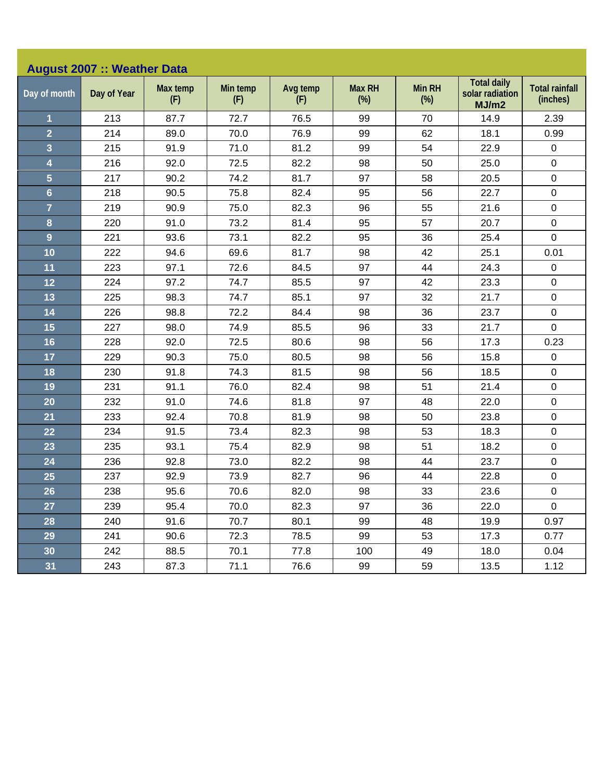| <b>August 2007 :: Weather Data</b> |             |                 |                 |                 |                         |                         |                                                |                                   |  |  |
|------------------------------------|-------------|-----------------|-----------------|-----------------|-------------------------|-------------------------|------------------------------------------------|-----------------------------------|--|--|
| Day of month                       | Day of Year | Max temp<br>(F) | Min temp<br>(F) | Avg temp<br>(F) | <b>Max RH</b><br>$(\%)$ | <b>Min RH</b><br>$(\%)$ | <b>Total daily</b><br>solar radiation<br>MJ/m2 | <b>Total rainfall</b><br>(inches) |  |  |
| $\mathbf{1}$                       | 213         | 87.7            | 72.7            | 76.5            | 99                      | 70                      | 14.9                                           | 2.39                              |  |  |
| $\overline{2}$                     | 214         | 89.0            | 70.0            | 76.9            | 99                      | 62                      | 18.1                                           | 0.99                              |  |  |
| 3                                  | 215         | 91.9            | 71.0            | 81.2            | 99                      | 54                      | 22.9                                           | $\pmb{0}$                         |  |  |
| $\overline{\mathbf{4}}$            | 216         | 92.0            | 72.5            | 82.2            | 98                      | 50                      | 25.0                                           | $\pmb{0}$                         |  |  |
| $\overline{5}$                     | 217         | 90.2            | 74.2            | 81.7            | 97                      | 58                      | 20.5                                           | $\pmb{0}$                         |  |  |
| $6\phantom{a}$                     | 218         | 90.5            | 75.8            | 82.4            | 95                      | 56                      | 22.7                                           | $\pmb{0}$                         |  |  |
| $\overline{7}$                     | 219         | 90.9            | 75.0            | 82.3            | 96                      | 55                      | 21.6                                           | $\pmb{0}$                         |  |  |
| 8                                  | 220         | 91.0            | 73.2            | 81.4            | 95                      | 57                      | 20.7                                           | $\pmb{0}$                         |  |  |
| $\overline{9}$                     | 221         | 93.6            | 73.1            | 82.2            | 95                      | 36                      | 25.4                                           | $\mathbf 0$                       |  |  |
| 10                                 | 222         | 94.6            | 69.6            | 81.7            | 98                      | 42                      | 25.1                                           | 0.01                              |  |  |
| 11                                 | 223         | 97.1            | 72.6            | 84.5            | 97                      | 44                      | 24.3                                           | $\pmb{0}$                         |  |  |
| 12                                 | 224         | 97.2            | 74.7            | 85.5            | 97                      | 42                      | 23.3                                           | $\pmb{0}$                         |  |  |
| 13                                 | 225         | 98.3            | 74.7            | 85.1            | 97                      | 32                      | 21.7                                           | $\pmb{0}$                         |  |  |
| 14                                 | 226         | 98.8            | 72.2            | 84.4            | 98                      | 36                      | 23.7                                           | $\pmb{0}$                         |  |  |
| 15                                 | 227         | 98.0            | 74.9            | 85.5            | 96                      | 33                      | 21.7                                           | $\mathbf 0$                       |  |  |
| 16                                 | 228         | 92.0            | 72.5            | 80.6            | 98                      | 56                      | 17.3                                           | 0.23                              |  |  |
| 17                                 | 229         | 90.3            | 75.0            | 80.5            | 98                      | 56                      | 15.8                                           | $\pmb{0}$                         |  |  |
| 18                                 | 230         | 91.8            | 74.3            | 81.5            | 98                      | 56                      | 18.5                                           | $\pmb{0}$                         |  |  |
| 19                                 | 231         | 91.1            | 76.0            | 82.4            | 98                      | 51                      | 21.4                                           | $\pmb{0}$                         |  |  |
| 20                                 | 232         | 91.0            | 74.6            | 81.8            | 97                      | 48                      | 22.0                                           | $\pmb{0}$                         |  |  |
| 21                                 | 233         | 92.4            | 70.8            | 81.9            | 98                      | 50                      | 23.8                                           | $\pmb{0}$                         |  |  |
| 22                                 | 234         | 91.5            | 73.4            | 82.3            | 98                      | 53                      | 18.3                                           | $\pmb{0}$                         |  |  |
| 23                                 | 235         | 93.1            | 75.4            | 82.9            | 98                      | 51                      | 18.2                                           | $\pmb{0}$                         |  |  |
| 24                                 | 236         | 92.8            | 73.0            | 82.2            | 98                      | 44                      | 23.7                                           | $\pmb{0}$                         |  |  |
| 25                                 | 237         | 92.9            | 73.9            | 82.7            | 96                      | 44                      | 22.8                                           | $\pmb{0}$                         |  |  |
| 26                                 | 238         | 95.6            | 70.6            | 82.0            | 98                      | 33                      | 23.6                                           | $\pmb{0}$                         |  |  |
| 27                                 | 239         | 95.4            | 70.0            | 82.3            | 97                      | 36                      | 22.0                                           | $\mathbf 0$                       |  |  |
| 28                                 | 240         | 91.6            | 70.7            | 80.1            | 99                      | 48                      | 19.9                                           | 0.97                              |  |  |
| 29                                 | 241         | 90.6            | 72.3            | 78.5            | 99                      | 53                      | 17.3                                           | 0.77                              |  |  |
| 30                                 | 242         | 88.5            | 70.1            | 77.8            | 100                     | 49                      | 18.0                                           | 0.04                              |  |  |
| 31                                 | 243         | 87.3            | 71.1            | 76.6            | 99                      | 59                      | 13.5                                           | 1.12                              |  |  |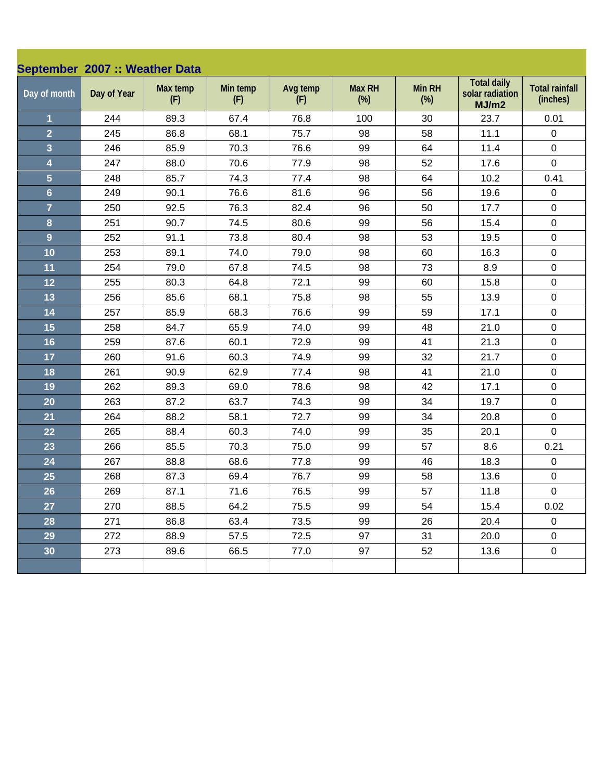| September 2007 :: Weather Data |             |                 |                 |                 |                         |                         |                                                |                                   |
|--------------------------------|-------------|-----------------|-----------------|-----------------|-------------------------|-------------------------|------------------------------------------------|-----------------------------------|
| Day of month                   | Day of Year | Max temp<br>(F) | Min temp<br>(F) | Avg temp<br>(F) | <b>Max RH</b><br>$(\%)$ | <b>Min RH</b><br>$(\%)$ | <b>Total daily</b><br>solar radiation<br>MJ/m2 | <b>Total rainfall</b><br>(inches) |
| $\mathbf{1}$                   | 244         | 89.3            | 67.4            | 76.8            | 100                     | 30                      | 23.7                                           | 0.01                              |
| $\overline{2}$                 | 245         | 86.8            | 68.1            | 75.7            | 98                      | 58                      | 11.1                                           | $\pmb{0}$                         |
| $\overline{\mathbf{3}}$        | 246         | 85.9            | 70.3            | 76.6            | 99                      | 64                      | 11.4                                           | $\mathbf 0$                       |
| $\overline{\mathbf{4}}$        | 247         | 88.0            | 70.6            | 77.9            | 98                      | 52                      | 17.6                                           | $\mathbf 0$                       |
| $\overline{5}$                 | 248         | 85.7            | 74.3            | 77.4            | 98                      | 64                      | 10.2                                           | 0.41                              |
| $6\phantom{a}$                 | 249         | 90.1            | 76.6            | 81.6            | 96                      | 56                      | 19.6                                           | $\pmb{0}$                         |
| $\overline{7}$                 | 250         | 92.5            | 76.3            | 82.4            | 96                      | 50                      | 17.7                                           | $\pmb{0}$                         |
| $\bf{8}$                       | 251         | 90.7            | 74.5            | 80.6            | 99                      | 56                      | 15.4                                           | $\pmb{0}$                         |
| $\overline{9}$                 | 252         | 91.1            | 73.8            | 80.4            | 98                      | 53                      | 19.5                                           | $\pmb{0}$                         |
| 10                             | 253         | 89.1            | 74.0            | 79.0            | 98                      | 60                      | 16.3                                           | $\pmb{0}$                         |
| 11                             | 254         | 79.0            | 67.8            | 74.5            | 98                      | 73                      | 8.9                                            | $\pmb{0}$                         |
| 12                             | 255         | 80.3            | 64.8            | 72.1            | 99                      | 60                      | 15.8                                           | $\pmb{0}$                         |
| 13                             | 256         | 85.6            | 68.1            | 75.8            | 98                      | 55                      | 13.9                                           | $\mathbf 0$                       |
| 14                             | 257         | 85.9            | 68.3            | 76.6            | 99                      | 59                      | 17.1                                           | $\pmb{0}$                         |
| 15                             | 258         | 84.7            | 65.9            | 74.0            | 99                      | 48                      | 21.0                                           | $\pmb{0}$                         |
| 16                             | 259         | 87.6            | 60.1            | 72.9            | 99                      | 41                      | 21.3                                           | $\pmb{0}$                         |
| 17                             | 260         | 91.6            | 60.3            | 74.9            | 99                      | 32                      | 21.7                                           | $\pmb{0}$                         |
| 18                             | 261         | 90.9            | 62.9            | 77.4            | 98                      | 41                      | 21.0                                           | $\pmb{0}$                         |
| 19                             | 262         | 89.3            | 69.0            | 78.6            | 98                      | 42                      | 17.1                                           | $\pmb{0}$                         |
| 20                             | 263         | 87.2            | 63.7            | 74.3            | 99                      | 34                      | 19.7                                           | $\mathbf 0$                       |
| 21                             | 264         | 88.2            | 58.1            | 72.7            | 99                      | 34                      | 20.8                                           | $\pmb{0}$                         |
| 22                             | 265         | 88.4            | 60.3            | 74.0            | 99                      | 35                      | 20.1                                           | $\mathbf 0$                       |
| 23                             | 266         | 85.5            | 70.3            | 75.0            | 99                      | 57                      | 8.6                                            | 0.21                              |
| 24                             | 267         | 88.8            | 68.6            | 77.8            | 99                      | 46                      | 18.3                                           | $\pmb{0}$                         |
| 25                             | 268         | 87.3            | 69.4            | 76.7            | 99                      | 58                      | 13.6                                           | $\pmb{0}$                         |
| 26                             | 269         | 87.1            | 71.6            | 76.5            | 99                      | 57                      | 11.8                                           | $\pmb{0}$                         |
| 27                             | 270         | 88.5            | 64.2            | 75.5            | 99                      | 54                      | 15.4                                           | 0.02                              |
| 28                             | 271         | 86.8            | 63.4            | 73.5            | 99                      | 26                      | 20.4                                           | $\mathsf 0$                       |
| 29                             | 272         | 88.9            | 57.5            | 72.5            | 97                      | 31                      | 20.0                                           | 0                                 |
| 30                             | 273         | 89.6            | 66.5            | 77.0            | 97                      | 52                      | 13.6                                           | $\mathsf 0$                       |
|                                |             |                 |                 |                 |                         |                         |                                                |                                   |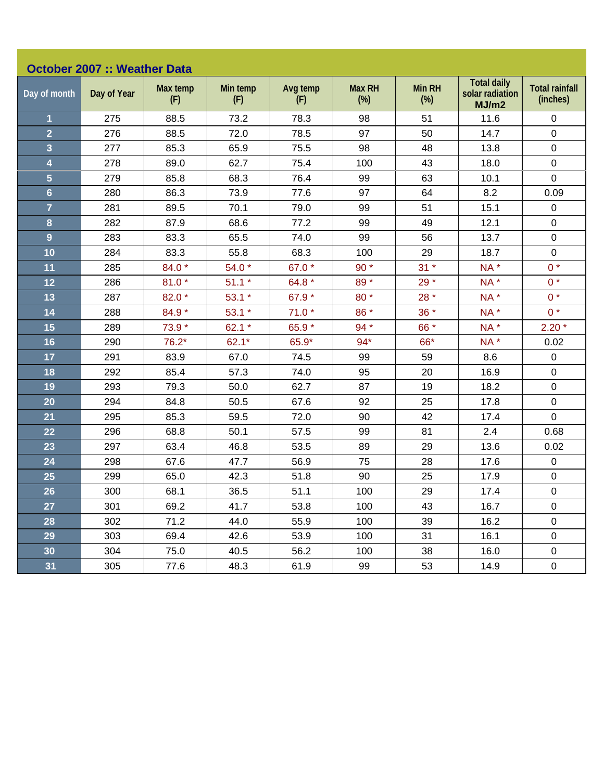| <b>October 2007 :: Weather Data</b> |             |                 |                 |                 |                         |                         |                                                |                                   |  |  |
|-------------------------------------|-------------|-----------------|-----------------|-----------------|-------------------------|-------------------------|------------------------------------------------|-----------------------------------|--|--|
| Day of month                        | Day of Year | Max temp<br>(F) | Min temp<br>(F) | Avg temp<br>(F) | <b>Max RH</b><br>$(\%)$ | <b>Min RH</b><br>$(\%)$ | <b>Total daily</b><br>solar radiation<br>MJ/m2 | <b>Total rainfall</b><br>(inches) |  |  |
| $\mathbf{1}$                        | 275         | 88.5            | 73.2            | 78.3            | 98                      | 51                      | 11.6                                           | $\mathbf 0$                       |  |  |
| $\overline{2}$                      | 276         | 88.5            | 72.0            | 78.5            | 97                      | 50                      | 14.7                                           | $\mathbf 0$                       |  |  |
| $\overline{\mathbf{3}}$             | 277         | 85.3            | 65.9            | 75.5            | 98                      | 48                      | 13.8                                           | $\pmb{0}$                         |  |  |
| $\overline{\mathbf{4}}$             | 278         | 89.0            | 62.7            | 75.4            | 100                     | 43                      | 18.0                                           | $\pmb{0}$                         |  |  |
| $\overline{5}$                      | 279         | 85.8            | 68.3            | 76.4            | 99                      | 63                      | 10.1                                           | $\mathbf 0$                       |  |  |
| $6\phantom{a}$                      | 280         | 86.3            | 73.9            | 77.6            | 97                      | 64                      | 8.2                                            | 0.09                              |  |  |
| $\overline{7}$                      | 281         | 89.5            | 70.1            | 79.0            | 99                      | 51                      | 15.1                                           | $\pmb{0}$                         |  |  |
| 8                                   | 282         | 87.9            | 68.6            | 77.2            | 99                      | 49                      | 12.1                                           | $\mathbf 0$                       |  |  |
| $\overline{9}$                      | 283         | 83.3            | 65.5            | 74.0            | 99                      | 56                      | 13.7                                           | $\pmb{0}$                         |  |  |
| 10                                  | 284         | 83.3            | 55.8            | 68.3            | 100                     | 29                      | 18.7                                           | $\pmb{0}$                         |  |  |
| 11                                  | 285         | 84.0 *          | 54.0 $*$        | 67.0 *          | $90*$                   | $31 *$                  | NA*                                            | $0*$                              |  |  |
| 12                                  | 286         | $81.0*$         | $51.1*$         | 64.8 *          | 89*                     | 29 *                    | NA*                                            | $0 *$                             |  |  |
| 13                                  | 287         | 82.0 *          | $53.1*$         | 67.9 *          | 80 *                    | $28*$                   | NA*                                            | $0 *$                             |  |  |
| 14                                  | 288         | 84.9 *          | $53.1*$         | $71.0*$         | 86 *                    | $36 *$                  | NA*                                            | $0^*$                             |  |  |
| 15                                  | 289         | 73.9 *          | 62.1 $*$        | 65.9 *          | 94 *                    | 66 *                    | NA*                                            | $2.20*$                           |  |  |
| 16                                  | 290         | $76.2*$         | $62.1*$         | 65.9*           | $94*$                   | 66*                     | NA*                                            | 0.02                              |  |  |
| 17                                  | 291         | 83.9            | 67.0            | 74.5            | 99                      | 59                      | 8.6                                            | $\pmb{0}$                         |  |  |
| 18                                  | 292         | 85.4            | 57.3            | 74.0            | 95                      | 20                      | 16.9                                           | $\mathbf 0$                       |  |  |
| 19                                  | 293         | 79.3            | 50.0            | 62.7            | 87                      | 19                      | 18.2                                           | $\pmb{0}$                         |  |  |
| 20                                  | 294         | 84.8            | 50.5            | 67.6            | 92                      | 25                      | 17.8                                           | $\mathbf 0$                       |  |  |
| 21                                  | 295         | 85.3            | 59.5            | 72.0            | 90                      | 42                      | 17.4                                           | $\mathbf 0$                       |  |  |
| 22                                  | 296         | 68.8            | 50.1            | 57.5            | 99                      | 81                      | 2.4                                            | 0.68                              |  |  |
| 23                                  | 297         | 63.4            | 46.8            | 53.5            | 89                      | 29                      | 13.6                                           | 0.02                              |  |  |
| 24                                  | 298         | 67.6            | 47.7            | 56.9            | 75                      | 28                      | 17.6                                           | $\mathbf 0$                       |  |  |
| 25                                  | 299         | 65.0            | 42.3            | 51.8            | 90                      | 25                      | 17.9                                           | $\pmb{0}$                         |  |  |
| 26                                  | 300         | 68.1            | 36.5            | 51.1            | 100                     | 29                      | 17.4                                           | $\pmb{0}$                         |  |  |
| 27                                  | 301         | 69.2            | 41.7            | 53.8            | 100                     | 43                      | 16.7                                           | $\mathbf 0$                       |  |  |
| 28                                  | 302         | 71.2            | 44.0            | 55.9            | 100                     | 39                      | 16.2                                           | $\pmb{0}$                         |  |  |
| 29                                  | 303         | 69.4            | 42.6            | 53.9            | 100                     | 31                      | 16.1                                           | 0                                 |  |  |
| 30                                  | 304         | 75.0            | 40.5            | 56.2            | 100                     | 38                      | 16.0                                           | $\pmb{0}$                         |  |  |
| 31                                  | 305         | 77.6            | 48.3            | 61.9            | 99                      | 53                      | 14.9                                           | $\pmb{0}$                         |  |  |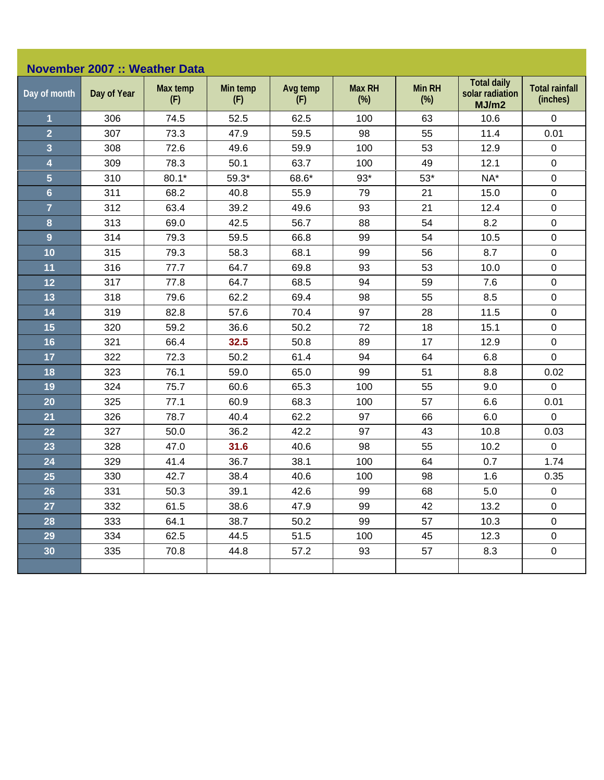| <b>November 2007 :: Weather Data</b> |             |                 |                 |                 |                         |                         |                                                |                                   |  |  |
|--------------------------------------|-------------|-----------------|-----------------|-----------------|-------------------------|-------------------------|------------------------------------------------|-----------------------------------|--|--|
| Day of month                         | Day of Year | Max temp<br>(F) | Min temp<br>(F) | Avg temp<br>(F) | <b>Max RH</b><br>$(\%)$ | <b>Min RH</b><br>$(\%)$ | <b>Total daily</b><br>solar radiation<br>MJ/m2 | <b>Total rainfall</b><br>(inches) |  |  |
| $\overline{1}$                       | 306         | 74.5            | 52.5            | 62.5            | 100                     | 63                      | 10.6                                           | $\mathbf 0$                       |  |  |
| $\overline{2}$                       | 307         | 73.3            | 47.9            | 59.5            | 98                      | 55                      | 11.4                                           | 0.01                              |  |  |
| $\overline{\mathbf{3}}$              | 308         | 72.6            | 49.6            | 59.9            | 100                     | 53                      | 12.9                                           | $\pmb{0}$                         |  |  |
| $\overline{\mathbf{4}}$              | 309         | 78.3            | 50.1            | 63.7            | 100                     | 49                      | 12.1                                           | $\pmb{0}$                         |  |  |
| $\overline{5}$                       | 310         | $80.1*$         | $59.3*$         | 68.6*           | $93*$                   | $53*$                   | NA*                                            | $\mathbf 0$                       |  |  |
| $6\phantom{a}$                       | 311         | 68.2            | 40.8            | 55.9            | 79                      | 21                      | 15.0                                           | $\pmb{0}$                         |  |  |
| $\overline{7}$                       | 312         | 63.4            | 39.2            | 49.6            | 93                      | 21                      | 12.4                                           | $\pmb{0}$                         |  |  |
| 8                                    | 313         | 69.0            | 42.5            | 56.7            | 88                      | 54                      | 8.2                                            | $\pmb{0}$                         |  |  |
| 9                                    | 314         | 79.3            | 59.5            | 66.8            | 99                      | 54                      | 10.5                                           | $\pmb{0}$                         |  |  |
| 10                                   | 315         | 79.3            | 58.3            | 68.1            | 99                      | 56                      | 8.7                                            | $\pmb{0}$                         |  |  |
| 11                                   | 316         | 77.7            | 64.7            | 69.8            | 93                      | 53                      | 10.0                                           | $\pmb{0}$                         |  |  |
| 12                                   | 317         | 77.8            | 64.7            | 68.5            | 94                      | 59                      | 7.6                                            | $\pmb{0}$                         |  |  |
| 13                                   | 318         | 79.6            | 62.2            | 69.4            | 98                      | 55                      | 8.5                                            | $\pmb{0}$                         |  |  |
| 14                                   | 319         | 82.8            | 57.6            | 70.4            | 97                      | 28                      | 11.5                                           | $\mathbf 0$                       |  |  |
| 15                                   | 320         | 59.2            | 36.6            | 50.2            | 72                      | 18                      | 15.1                                           | $\pmb{0}$                         |  |  |
| 16                                   | 321         | 66.4            | 32.5            | 50.8            | 89                      | 17                      | 12.9                                           | $\mathbf 0$                       |  |  |
| 17                                   | 322         | 72.3            | 50.2            | 61.4            | 94                      | 64                      | 6.8                                            | $\mathbf 0$                       |  |  |
| 18                                   | 323         | 76.1            | 59.0            | 65.0            | 99                      | 51                      | 8.8                                            | 0.02                              |  |  |
| 19                                   | 324         | 75.7            | 60.6            | 65.3            | 100                     | 55                      | 9.0                                            | $\mathbf 0$                       |  |  |
| 20                                   | 325         | 77.1            | 60.9            | 68.3            | 100                     | 57                      | 6.6                                            | 0.01                              |  |  |
| 21                                   | 326         | 78.7            | 40.4            | 62.2            | 97                      | 66                      | 6.0                                            | $\mathbf 0$                       |  |  |
| 22                                   | 327         | 50.0            | 36.2            | 42.2            | 97                      | 43                      | 10.8                                           | 0.03                              |  |  |
| 23                                   | 328         | 47.0            | 31.6            | 40.6            | 98                      | 55                      | 10.2                                           | $\mathbf 0$                       |  |  |
| 24                                   | 329         | 41.4            | 36.7            | 38.1            | 100                     | 64                      | 0.7                                            | 1.74                              |  |  |
| 25                                   | 330         | 42.7            | 38.4            | 40.6            | 100                     | 98                      | 1.6                                            | 0.35                              |  |  |
| 26                                   | 331         | 50.3            | 39.1            | 42.6            | 99                      | 68                      | 5.0                                            | $\pmb{0}$                         |  |  |
| 27                                   | 332         | 61.5            | 38.6            | 47.9            | 99                      | 42                      | 13.2                                           | $\mathbf 0$                       |  |  |
| 28                                   | 333         | 64.1            | 38.7            | 50.2            | 99                      | 57                      | 10.3                                           | $\mathsf 0$                       |  |  |
| 29                                   | 334         | 62.5            | 44.5            | 51.5            | 100                     | 45                      | 12.3                                           | $\mathbf 0$                       |  |  |
| 30 <sub>o</sub>                      | 335         | 70.8            | 44.8            | 57.2            | 93                      | 57                      | 8.3                                            | $\pmb{0}$                         |  |  |
|                                      |             |                 |                 |                 |                         |                         |                                                |                                   |  |  |